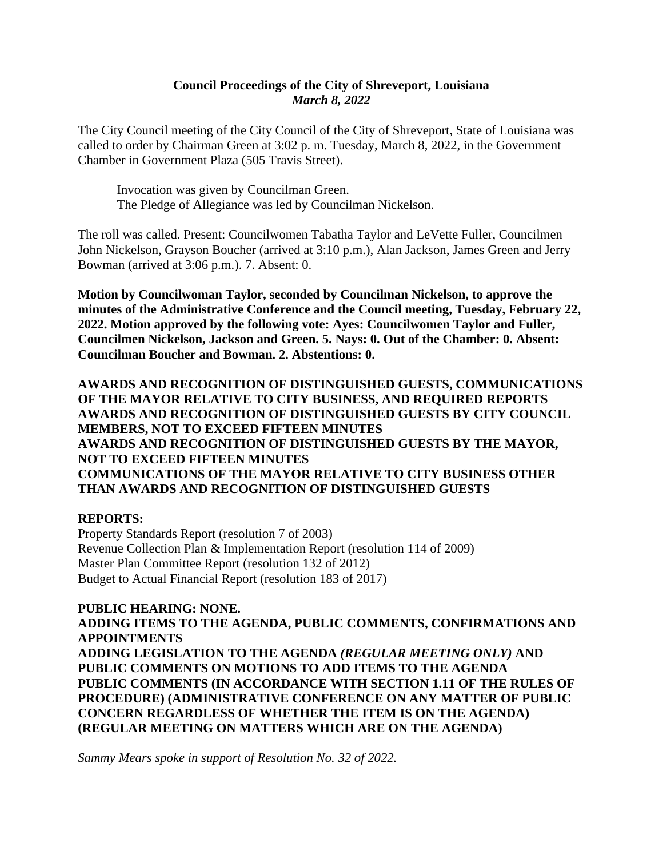#### **Council Proceedings of the City of Shreveport, Louisiana** *March 8, 2022*

The City Council meeting of the City Council of the City of Shreveport, State of Louisiana was called to order by Chairman Green at 3:02 p. m. Tuesday, March 8, 2022, in the Government Chamber in Government Plaza (505 Travis Street).

Invocation was given by Councilman Green. The Pledge of Allegiance was led by Councilman Nickelson.

The roll was called. Present: Councilwomen Tabatha Taylor and LeVette Fuller, Councilmen John Nickelson, Grayson Boucher (arrived at 3:10 p.m.), Alan Jackson, James Green and Jerry Bowman (arrived at 3:06 p.m.). 7. Absent: 0.

**Motion by Councilwoman Taylor, seconded by Councilman Nickelson, to approve the minutes of the Administrative Conference and the Council meeting, Tuesday, February 22, 2022. Motion approved by the following vote: Ayes: Councilwomen Taylor and Fuller, Councilmen Nickelson, Jackson and Green. 5. Nays: 0. Out of the Chamber: 0. Absent: Councilman Boucher and Bowman. 2. Abstentions: 0.**

**AWARDS AND RECOGNITION OF DISTINGUISHED GUESTS, COMMUNICATIONS OF THE MAYOR RELATIVE TO CITY BUSINESS, AND REQUIRED REPORTS AWARDS AND RECOGNITION OF DISTINGUISHED GUESTS BY CITY COUNCIL MEMBERS, NOT TO EXCEED FIFTEEN MINUTES AWARDS AND RECOGNITION OF DISTINGUISHED GUESTS BY THE MAYOR, NOT TO EXCEED FIFTEEN MINUTES COMMUNICATIONS OF THE MAYOR RELATIVE TO CITY BUSINESS OTHER THAN AWARDS AND RECOGNITION OF DISTINGUISHED GUESTS**

#### **REPORTS:**

Property Standards Report (resolution 7 of 2003) Revenue Collection Plan & Implementation Report (resolution 114 of 2009) Master Plan Committee Report (resolution 132 of 2012) Budget to Actual Financial Report (resolution 183 of 2017)

**PUBLIC HEARING: NONE. ADDING ITEMS TO THE AGENDA, PUBLIC COMMENTS, CONFIRMATIONS AND APPOINTMENTS ADDING LEGISLATION TO THE AGENDA** *(REGULAR MEETING ONLY)* **AND PUBLIC COMMENTS ON MOTIONS TO ADD ITEMS TO THE AGENDA PUBLIC COMMENTS (IN ACCORDANCE WITH SECTION 1.11 OF THE RULES OF PROCEDURE) (ADMINISTRATIVE CONFERENCE ON ANY MATTER OF PUBLIC CONCERN REGARDLESS OF WHETHER THE ITEM IS ON THE AGENDA) (REGULAR MEETING ON MATTERS WHICH ARE ON THE AGENDA)**

*Sammy Mears spoke in support of Resolution No. 32 of 2022.*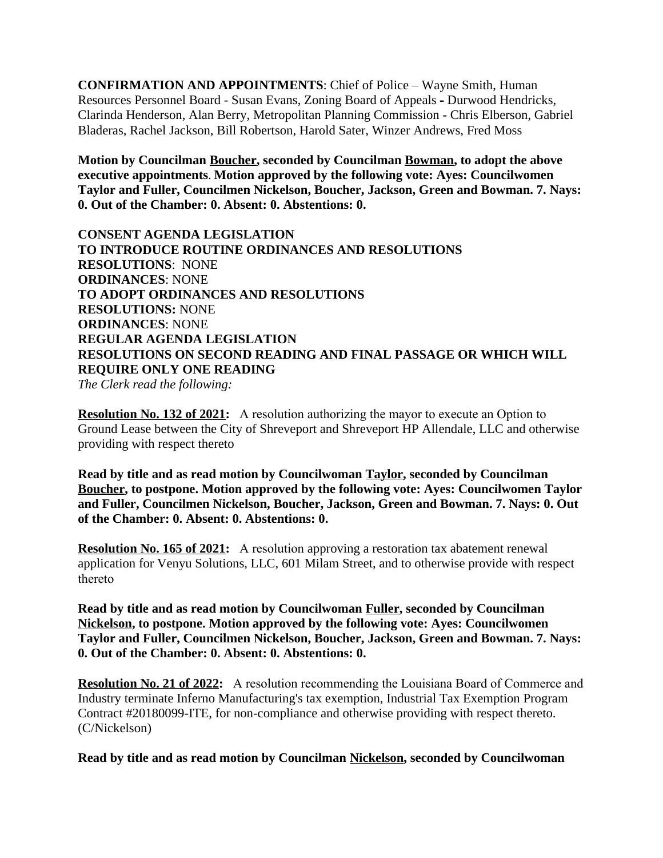**CONFIRMATION AND APPOINTMENTS**: Chief of Police – Wayne Smith, Human Resources Personnel Board - Susan Evans, Zoning Board of Appeals **-** Durwood Hendricks, Clarinda Henderson, Alan Berry, Metropolitan Planning Commission **-** Chris Elberson, Gabriel Bladeras, Rachel Jackson, Bill Robertson, Harold Sater, Winzer Andrews, Fred Moss

**Motion by Councilman Boucher, seconded by Councilman Bowman, to adopt the above executive appointments**. **Motion approved by the following vote: Ayes: Councilwomen Taylor and Fuller, Councilmen Nickelson, Boucher, Jackson, Green and Bowman. 7. Nays: 0. Out of the Chamber: 0. Absent: 0. Abstentions: 0.**

**CONSENT AGENDA LEGISLATION TO INTRODUCE ROUTINE ORDINANCES AND RESOLUTIONS RESOLUTIONS**: NONE **ORDINANCES**: NONE **TO ADOPT ORDINANCES AND RESOLUTIONS RESOLUTIONS:** NONE **ORDINANCES**: NONE **REGULAR AGENDA LEGISLATION RESOLUTIONS ON SECOND READING AND FINAL PASSAGE OR WHICH WILL REQUIRE ONLY ONE READING**

*The Clerk read the following:* 

**Resolution No. 132 of 2021:** A resolution authorizing the mayor to execute an Option to Ground Lease between the City of Shreveport and Shreveport HP Allendale, LLC and otherwise providing with respect thereto

**Read by title and as read motion by Councilwoman Taylor, seconded by Councilman Boucher, to postpone. Motion approved by the following vote: Ayes: Councilwomen Taylor and Fuller, Councilmen Nickelson, Boucher, Jackson, Green and Bowman. 7. Nays: 0. Out of the Chamber: 0. Absent: 0. Abstentions: 0.**

**Resolution No. 165 of 2021:** A resolution approving a restoration tax abatement renewal application for Venyu Solutions, LLC, 601 Milam Street, and to otherwise provide with respect thereto

**Read by title and as read motion by Councilwoman Fuller, seconded by Councilman Nickelson, to postpone. Motion approved by the following vote: Ayes: Councilwomen Taylor and Fuller, Councilmen Nickelson, Boucher, Jackson, Green and Bowman. 7. Nays: 0. Out of the Chamber: 0. Absent: 0. Abstentions: 0.**

**Resolution No. 21 of 2022:** A resolution recommending the Louisiana Board of Commerce and Industry terminate Inferno Manufacturing's tax exemption, Industrial Tax Exemption Program Contract #20180099-ITE, for non-compliance and otherwise providing with respect thereto. (C/Nickelson)

**Read by title and as read motion by Councilman Nickelson, seconded by Councilwoman**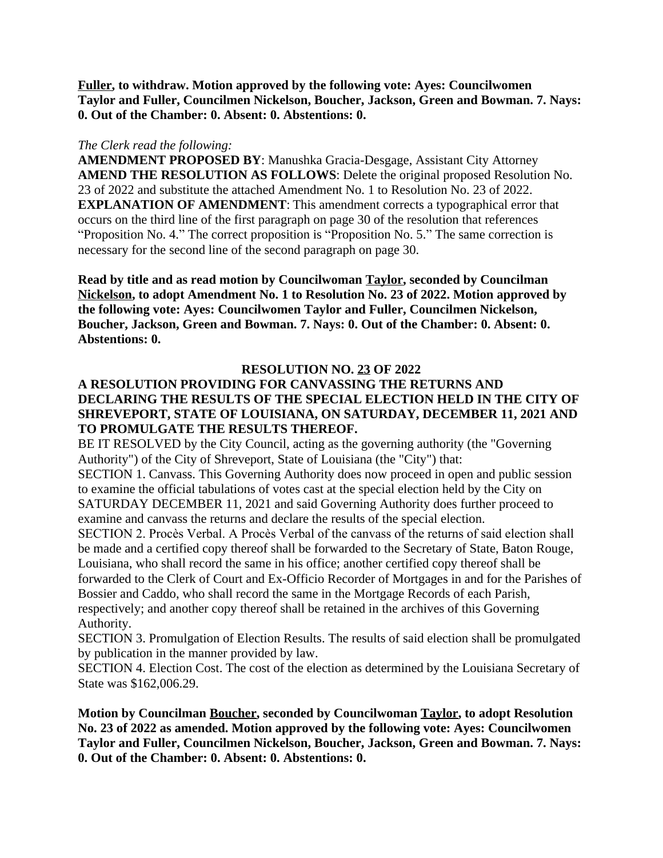**Fuller, to withdraw. Motion approved by the following vote: Ayes: Councilwomen Taylor and Fuller, Councilmen Nickelson, Boucher, Jackson, Green and Bowman. 7. Nays: 0. Out of the Chamber: 0. Absent: 0. Abstentions: 0.**

#### *The Clerk read the following:*

**AMENDMENT PROPOSED BY**: Manushka Gracia-Desgage, Assistant City Attorney **AMEND THE RESOLUTION AS FOLLOWS**: Delete the original proposed Resolution No. 23 of 2022 and substitute the attached Amendment No. 1 to Resolution No. 23 of 2022. **EXPLANATION OF AMENDMENT**: This amendment corrects a typographical error that occurs on the third line of the first paragraph on page 30 of the resolution that references "Proposition No. 4." The correct proposition is "Proposition No. 5." The same correction is necessary for the second line of the second paragraph on page 30.

**Read by title and as read motion by Councilwoman Taylor, seconded by Councilman Nickelson, to adopt Amendment No. 1 to Resolution No. 23 of 2022. Motion approved by the following vote: Ayes: Councilwomen Taylor and Fuller, Councilmen Nickelson, Boucher, Jackson, Green and Bowman. 7. Nays: 0. Out of the Chamber: 0. Absent: 0. Abstentions: 0.**

#### **RESOLUTION NO. 23 OF 2022**

#### **A RESOLUTION PROVIDING FOR CANVASSING THE RETURNS AND DECLARING THE RESULTS OF THE SPECIAL ELECTION HELD IN THE CITY OF SHREVEPORT, STATE OF LOUISIANA, ON SATURDAY, DECEMBER 11, 2021 AND TO PROMULGATE THE RESULTS THEREOF.**

BE IT RESOLVED by the City Council, acting as the governing authority (the "Governing Authority") of the City of Shreveport, State of Louisiana (the "City") that:

SECTION 1. Canvass. This Governing Authority does now proceed in open and public session to examine the official tabulations of votes cast at the special election held by the City on SATURDAY DECEMBER 11, 2021 and said Governing Authority does further proceed to examine and canvass the returns and declare the results of the special election.

SECTION 2. Procès Verbal. A Procès Verbal of the canvass of the returns of said election shall be made and a certified copy thereof shall be forwarded to the Secretary of State, Baton Rouge, Louisiana, who shall record the same in his office; another certified copy thereof shall be forwarded to the Clerk of Court and Ex-Officio Recorder of Mortgages in and for the Parishes of Bossier and Caddo, who shall record the same in the Mortgage Records of each Parish, respectively; and another copy thereof shall be retained in the archives of this Governing Authority.

SECTION 3. Promulgation of Election Results. The results of said election shall be promulgated by publication in the manner provided by law.

SECTION 4. Election Cost. The cost of the election as determined by the Louisiana Secretary of State was \$162,006.29.

**Motion by Councilman Boucher, seconded by Councilwoman Taylor, to adopt Resolution No. 23 of 2022 as amended. Motion approved by the following vote: Ayes: Councilwomen Taylor and Fuller, Councilmen Nickelson, Boucher, Jackson, Green and Bowman. 7. Nays: 0. Out of the Chamber: 0. Absent: 0. Abstentions: 0.**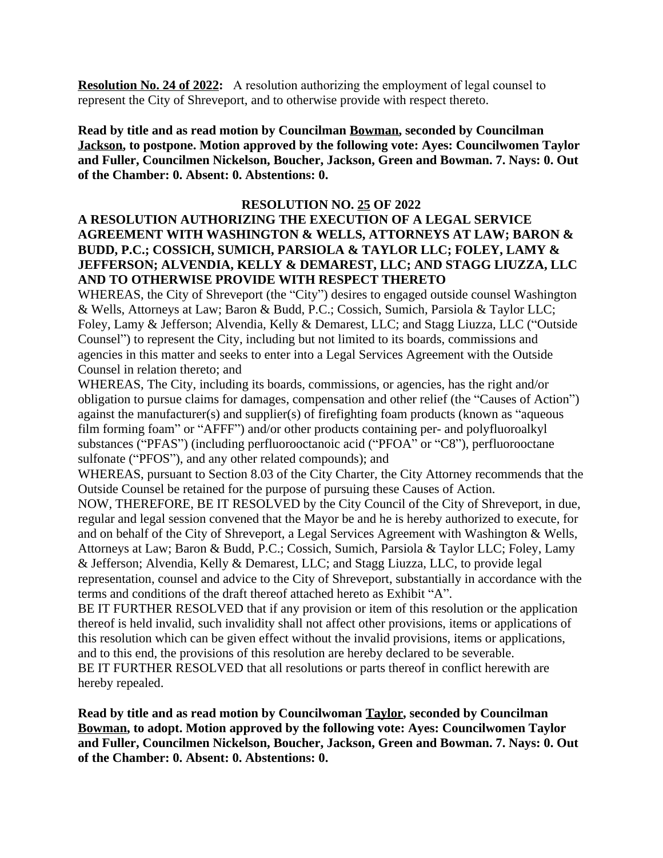**Resolution No. 24 of 2022:** A resolution authorizing the employment of legal counsel to represent the City of Shreveport, and to otherwise provide with respect thereto.

**Read by title and as read motion by Councilman Bowman, seconded by Councilman Jackson, to postpone. Motion approved by the following vote: Ayes: Councilwomen Taylor and Fuller, Councilmen Nickelson, Boucher, Jackson, Green and Bowman. 7. Nays: 0. Out of the Chamber: 0. Absent: 0. Abstentions: 0.**

#### **RESOLUTION NO. 25 OF 2022**

#### **A RESOLUTION AUTHORIZING THE EXECUTION OF A LEGAL SERVICE AGREEMENT WITH WASHINGTON & WELLS, ATTORNEYS AT LAW; BARON & BUDD, P.C.; COSSICH, SUMICH, PARSIOLA & TAYLOR LLC; FOLEY, LAMY & JEFFERSON; ALVENDIA, KELLY & DEMAREST, LLC; AND STAGG LIUZZA, LLC AND TO OTHERWISE PROVIDE WITH RESPECT THERETO**

WHEREAS, the City of Shreveport (the "City") desires to engaged outside counsel Washington & Wells, Attorneys at Law; Baron & Budd, P.C.; Cossich, Sumich, Parsiola & Taylor LLC; Foley, Lamy & Jefferson; Alvendia, Kelly & Demarest, LLC; and Stagg Liuzza, LLC ("Outside Counsel") to represent the City, including but not limited to its boards, commissions and agencies in this matter and seeks to enter into a Legal Services Agreement with the Outside Counsel in relation thereto; and

WHEREAS, The City, including its boards, commissions, or agencies, has the right and/or obligation to pursue claims for damages, compensation and other relief (the "Causes of Action") against the manufacturer(s) and supplier(s) of firefighting foam products (known as "aqueous film forming foam" or "AFFF") and/or other products containing per- and polyfluoroalkyl substances ("PFAS") (including perfluorooctanoic acid ("PFOA" or "C8"), perfluorooctane sulfonate ("PFOS"), and any other related compounds); and

WHEREAS, pursuant to Section 8.03 of the City Charter, the City Attorney recommends that the Outside Counsel be retained for the purpose of pursuing these Causes of Action.

NOW, THEREFORE, BE IT RESOLVED by the City Council of the City of Shreveport, in due, regular and legal session convened that the Mayor be and he is hereby authorized to execute, for and on behalf of the City of Shreveport, a Legal Services Agreement with Washington & Wells, Attorneys at Law; Baron & Budd, P.C.; Cossich, Sumich, Parsiola & Taylor LLC; Foley, Lamy & Jefferson; Alvendia, Kelly & Demarest, LLC; and Stagg Liuzza, LLC, to provide legal representation, counsel and advice to the City of Shreveport, substantially in accordance with the terms and conditions of the draft thereof attached hereto as Exhibit "A".

BE IT FURTHER RESOLVED that if any provision or item of this resolution or the application thereof is held invalid, such invalidity shall not affect other provisions, items or applications of this resolution which can be given effect without the invalid provisions, items or applications, and to this end, the provisions of this resolution are hereby declared to be severable.

BE IT FURTHER RESOLVED that all resolutions or parts thereof in conflict herewith are hereby repealed.

**Read by title and as read motion by Councilwoman Taylor, seconded by Councilman Bowman, to adopt. Motion approved by the following vote: Ayes: Councilwomen Taylor and Fuller, Councilmen Nickelson, Boucher, Jackson, Green and Bowman. 7. Nays: 0. Out of the Chamber: 0. Absent: 0. Abstentions: 0.**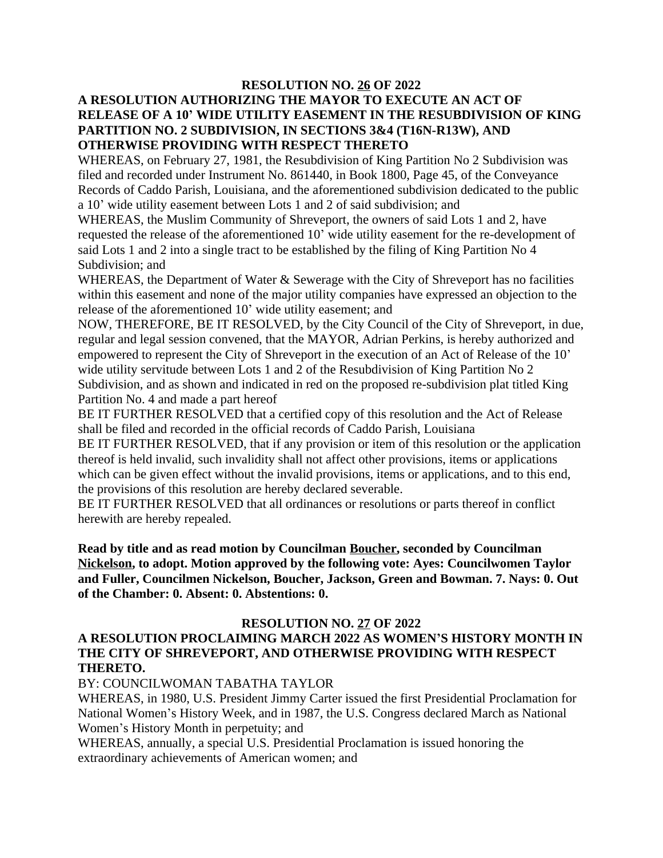#### **RESOLUTION NO. 26 OF 2022 A RESOLUTION AUTHORIZING THE MAYOR TO EXECUTE AN ACT OF RELEASE OF A 10' WIDE UTILITY EASEMENT IN THE RESUBDIVISION OF KING PARTITION NO. 2 SUBDIVISION, IN SECTIONS 3&4 (T16N-R13W), AND OTHERWISE PROVIDING WITH RESPECT THERETO**

WHEREAS, on February 27, 1981, the Resubdivision of King Partition No 2 Subdivision was filed and recorded under Instrument No. 861440, in Book 1800, Page 45, of the Conveyance Records of Caddo Parish, Louisiana, and the aforementioned subdivision dedicated to the public a 10' wide utility easement between Lots 1 and 2 of said subdivision; and

WHEREAS, the Muslim Community of Shreveport, the owners of said Lots 1 and 2, have requested the release of the aforementioned 10' wide utility easement for the re-development of said Lots 1 and 2 into a single tract to be established by the filing of King Partition No 4 Subdivision; and

WHEREAS, the Department of Water & Sewerage with the City of Shreveport has no facilities within this easement and none of the major utility companies have expressed an objection to the release of the aforementioned 10' wide utility easement; and

NOW, THEREFORE, BE IT RESOLVED, by the City Council of the City of Shreveport, in due, regular and legal session convened, that the MAYOR, Adrian Perkins, is hereby authorized and empowered to represent the City of Shreveport in the execution of an Act of Release of the 10' wide utility servitude between Lots 1 and 2 of the Resubdivision of King Partition No 2 Subdivision, and as shown and indicated in red on the proposed re-subdivision plat titled King Partition No. 4 and made a part hereof

BE IT FURTHER RESOLVED that a certified copy of this resolution and the Act of Release shall be filed and recorded in the official records of Caddo Parish, Louisiana

BE IT FURTHER RESOLVED, that if any provision or item of this resolution or the application thereof is held invalid, such invalidity shall not affect other provisions, items or applications which can be given effect without the invalid provisions, items or applications, and to this end, the provisions of this resolution are hereby declared severable.

BE IT FURTHER RESOLVED that all ordinances or resolutions or parts thereof in conflict herewith are hereby repealed.

**Read by title and as read motion by Councilman Boucher, seconded by Councilman Nickelson, to adopt. Motion approved by the following vote: Ayes: Councilwomen Taylor and Fuller, Councilmen Nickelson, Boucher, Jackson, Green and Bowman. 7. Nays: 0. Out of the Chamber: 0. Absent: 0. Abstentions: 0.**

#### **RESOLUTION NO. 27 OF 2022 A RESOLUTION PROCLAIMING MARCH 2022 AS WOMEN'S HISTORY MONTH IN THE CITY OF SHREVEPORT, AND OTHERWISE PROVIDING WITH RESPECT THERETO.**

#### BY: COUNCILWOMAN TABATHA TAYLOR

WHEREAS, in 1980, U.S. President Jimmy Carter issued the first Presidential Proclamation for National Women's History Week, and in 1987, the U.S. Congress declared March as National Women's History Month in perpetuity; and

WHEREAS, annually, a special U.S. Presidential Proclamation is issued honoring the extraordinary achievements of American women; and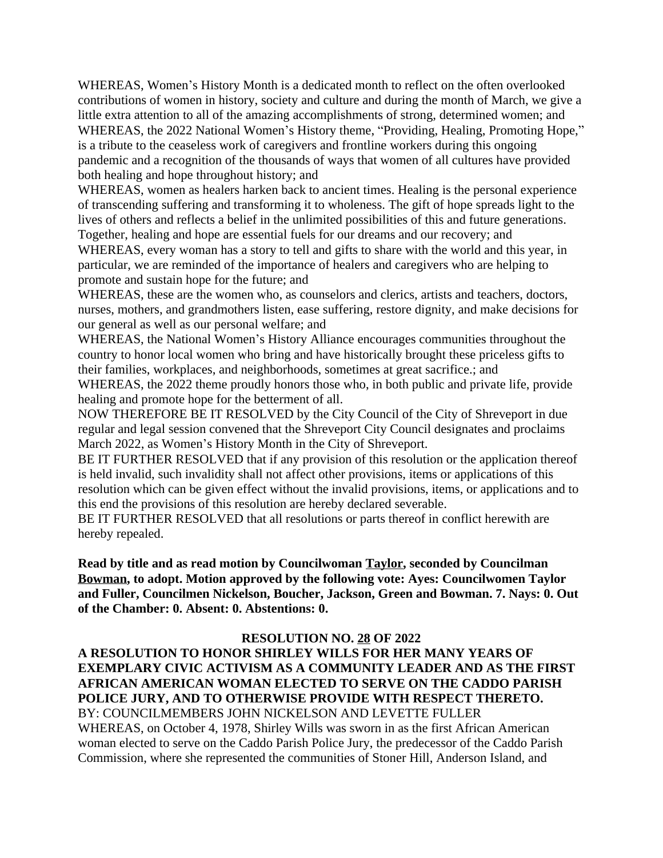WHEREAS, Women's History Month is a dedicated month to reflect on the often overlooked contributions of women in history, society and culture and during the month of March, we give a little extra attention to all of the amazing accomplishments of strong, determined women; and WHEREAS, the 2022 National Women's History theme, "Providing, Healing, Promoting Hope," is a tribute to the ceaseless work of caregivers and frontline workers during this ongoing pandemic and a recognition of the thousands of ways that women of all cultures have provided both healing and hope throughout history; and

WHEREAS, women as healers harken back to ancient times. Healing is the personal experience of transcending suffering and transforming it to wholeness. The gift of hope spreads light to the lives of others and reflects a belief in the unlimited possibilities of this and future generations. Together, healing and hope are essential fuels for our dreams and our recovery; and

WHEREAS, every woman has a story to tell and gifts to share with the world and this year, in particular, we are reminded of the importance of healers and caregivers who are helping to promote and sustain hope for the future; and

WHEREAS, these are the women who, as counselors and clerics, artists and teachers, doctors, nurses, mothers, and grandmothers listen, ease suffering, restore dignity, and make decisions for our general as well as our personal welfare; and

WHEREAS, the National Women's History Alliance encourages communities throughout the country to honor local women who bring and have historically brought these priceless gifts to their families, workplaces, and neighborhoods, sometimes at great sacrifice.; and

WHEREAS, the 2022 theme proudly honors those who, in both public and private life, provide healing and promote hope for the betterment of all.

NOW THEREFORE BE IT RESOLVED by the City Council of the City of Shreveport in due regular and legal session convened that the Shreveport City Council designates and proclaims March 2022, as Women's History Month in the City of Shreveport.

BE IT FURTHER RESOLVED that if any provision of this resolution or the application thereof is held invalid, such invalidity shall not affect other provisions, items or applications of this resolution which can be given effect without the invalid provisions, items, or applications and to this end the provisions of this resolution are hereby declared severable.

BE IT FURTHER RESOLVED that all resolutions or parts thereof in conflict herewith are hereby repealed.

**Read by title and as read motion by Councilwoman Taylor, seconded by Councilman Bowman, to adopt. Motion approved by the following vote: Ayes: Councilwomen Taylor and Fuller, Councilmen Nickelson, Boucher, Jackson, Green and Bowman. 7. Nays: 0. Out of the Chamber: 0. Absent: 0. Abstentions: 0.**

#### **RESOLUTION NO. 28 OF 2022**

**A RESOLUTION TO HONOR SHIRLEY WILLS FOR HER MANY YEARS OF EXEMPLARY CIVIC ACTIVISM AS A COMMUNITY LEADER AND AS THE FIRST AFRICAN AMERICAN WOMAN ELECTED TO SERVE ON THE CADDO PARISH POLICE JURY, AND TO OTHERWISE PROVIDE WITH RESPECT THERETO.** BY: COUNCILMEMBERS JOHN NICKELSON AND LEVETTE FULLER WHEREAS, on October 4, 1978, Shirley Wills was sworn in as the first African American woman elected to serve on the Caddo Parish Police Jury, the predecessor of the Caddo Parish Commission, where she represented the communities of Stoner Hill, Anderson Island, and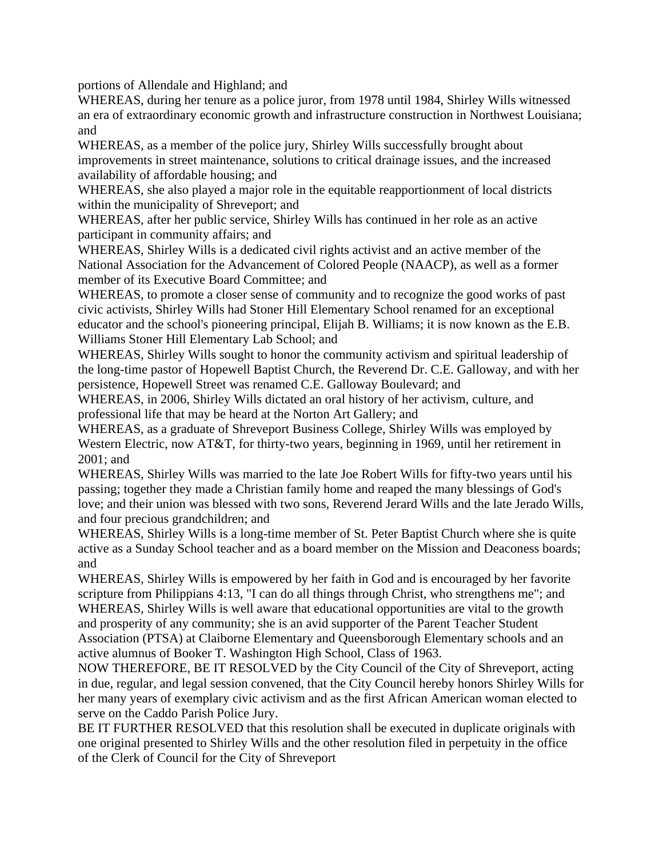portions of Allendale and Highland; and

WHEREAS, during her tenure as a police juror, from 1978 until 1984, Shirley Wills witnessed an era of extraordinary economic growth and infrastructure construction in Northwest Louisiana; and

WHEREAS, as a member of the police jury, Shirley Wills successfully brought about improvements in street maintenance, solutions to critical drainage issues, and the increased availability of affordable housing; and

WHEREAS, she also played a major role in the equitable reapportionment of local districts within the municipality of Shreveport; and

WHEREAS, after her public service, Shirley Wills has continued in her role as an active participant in community affairs; and

WHEREAS, Shirley Wills is a dedicated civil rights activist and an active member of the National Association for the Advancement of Colored People (NAACP), as well as a former member of its Executive Board Committee; and

WHEREAS, to promote a closer sense of community and to recognize the good works of past civic activists, Shirley Wills had Stoner Hill Elementary School renamed for an exceptional educator and the school's pioneering principal, Elijah B. Williams; it is now known as the E.B. Williams Stoner Hill Elementary Lab School; and

WHEREAS, Shirley Wills sought to honor the community activism and spiritual leadership of the long-time pastor of Hopewell Baptist Church, the Reverend Dr. C.E. Galloway, and with her persistence, Hopewell Street was renamed C.E. Galloway Boulevard; and

WHEREAS, in 2006, Shirley Wills dictated an oral history of her activism, culture, and professional life that may be heard at the Norton Art Gallery; and

WHEREAS, as a graduate of Shreveport Business College, Shirley Wills was employed by Western Electric, now AT&T, for thirty-two years, beginning in 1969, until her retirement in 2001; and

WHEREAS, Shirley Wills was married to the late Joe Robert Wills for fifty-two years until his passing; together they made a Christian family home and reaped the many blessings of God's love; and their union was blessed with two sons, Reverend Jerard Wills and the late Jerado Wills, and four precious grandchildren; and

WHEREAS, Shirley Wills is a long-time member of St. Peter Baptist Church where she is quite active as a Sunday School teacher and as a board member on the Mission and Deaconess boards; and

WHEREAS, Shirley Wills is empowered by her faith in God and is encouraged by her favorite scripture from Philippians 4:13, "I can do all things through Christ, who strengthens me"; and WHEREAS, Shirley Wills is well aware that educational opportunities are vital to the growth and prosperity of any community; she is an avid supporter of the Parent Teacher Student Association (PTSA) at Claiborne Elementary and Queensborough Elementary schools and an active alumnus of Booker T. Washington High School, Class of 1963.

NOW THEREFORE, BE IT RESOLVED by the City Council of the City of Shreveport, acting in due, regular, and legal session convened, that the City Council hereby honors Shirley Wills for her many years of exemplary civic activism and as the first African American woman elected to serve on the Caddo Parish Police Jury.

BE IT FURTHER RESOLVED that this resolution shall be executed in duplicate originals with one original presented to Shirley Wills and the other resolution filed in perpetuity in the office of the Clerk of Council for the City of Shreveport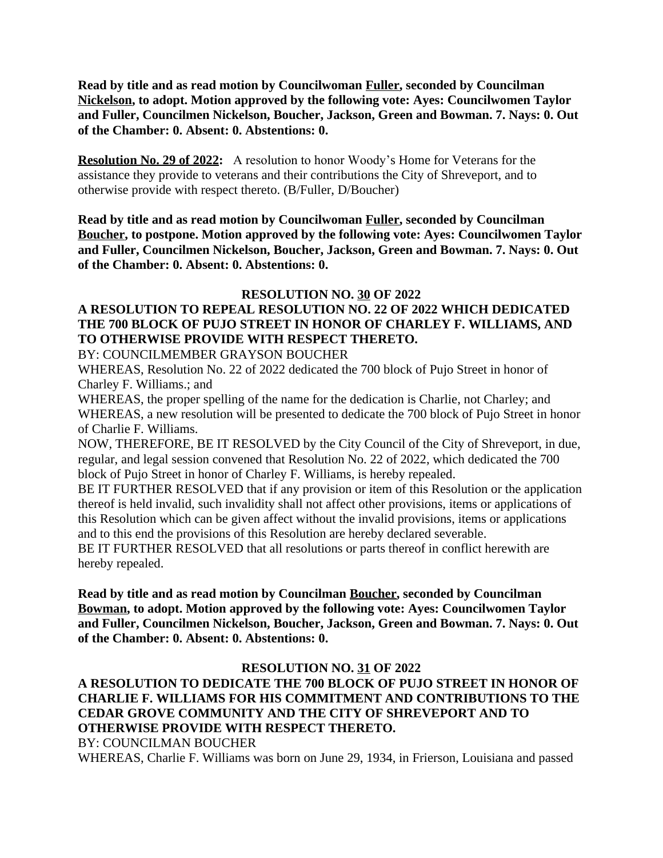**Read by title and as read motion by Councilwoman Fuller, seconded by Councilman Nickelson, to adopt. Motion approved by the following vote: Ayes: Councilwomen Taylor and Fuller, Councilmen Nickelson, Boucher, Jackson, Green and Bowman. 7. Nays: 0. Out of the Chamber: 0. Absent: 0. Abstentions: 0.**

**Resolution No. 29 of 2022:** A resolution to honor Woody's Home for Veterans for the assistance they provide to veterans and their contributions the City of Shreveport, and to otherwise provide with respect thereto. (B/Fuller, D/Boucher)

**Read by title and as read motion by Councilwoman Fuller, seconded by Councilman Boucher, to postpone. Motion approved by the following vote: Ayes: Councilwomen Taylor and Fuller, Councilmen Nickelson, Boucher, Jackson, Green and Bowman. 7. Nays: 0. Out of the Chamber: 0. Absent: 0. Abstentions: 0.**

#### **RESOLUTION NO. 30 OF 2022**

# **A RESOLUTION TO REPEAL RESOLUTION NO. 22 OF 2022 WHICH DEDICATED THE 700 BLOCK OF PUJO STREET IN HONOR OF CHARLEY F. WILLIAMS, AND TO OTHERWISE PROVIDE WITH RESPECT THERETO.**

BY: COUNCILMEMBER GRAYSON BOUCHER

WHEREAS, Resolution No. 22 of 2022 dedicated the 700 block of Pujo Street in honor of Charley F. Williams.; and

WHEREAS, the proper spelling of the name for the dedication is Charlie, not Charley; and WHEREAS, a new resolution will be presented to dedicate the 700 block of Pujo Street in honor of Charlie F. Williams.

NOW, THEREFORE, BE IT RESOLVED by the City Council of the City of Shreveport, in due, regular, and legal session convened that Resolution No. 22 of 2022, which dedicated the 700 block of Pujo Street in honor of Charley F. Williams, is hereby repealed.

BE IT FURTHER RESOLVED that if any provision or item of this Resolution or the application thereof is held invalid, such invalidity shall not affect other provisions, items or applications of this Resolution which can be given affect without the invalid provisions, items or applications and to this end the provisions of this Resolution are hereby declared severable.

BE IT FURTHER RESOLVED that all resolutions or parts thereof in conflict herewith are hereby repealed.

**Read by title and as read motion by Councilman Boucher, seconded by Councilman Bowman, to adopt. Motion approved by the following vote: Ayes: Councilwomen Taylor and Fuller, Councilmen Nickelson, Boucher, Jackson, Green and Bowman. 7. Nays: 0. Out of the Chamber: 0. Absent: 0. Abstentions: 0.**

#### **RESOLUTION NO. 31 OF 2022**

**A RESOLUTION TO DEDICATE THE 700 BLOCK OF PUJO STREET IN HONOR OF CHARLIE F. WILLIAMS FOR HIS COMMITMENT AND CONTRIBUTIONS TO THE CEDAR GROVE COMMUNITY AND THE CITY OF SHREVEPORT AND TO OTHERWISE PROVIDE WITH RESPECT THERETO.** BY: COUNCILMAN BOUCHER

WHEREAS, Charlie F. Williams was born on June 29, 1934, in Frierson, Louisiana and passed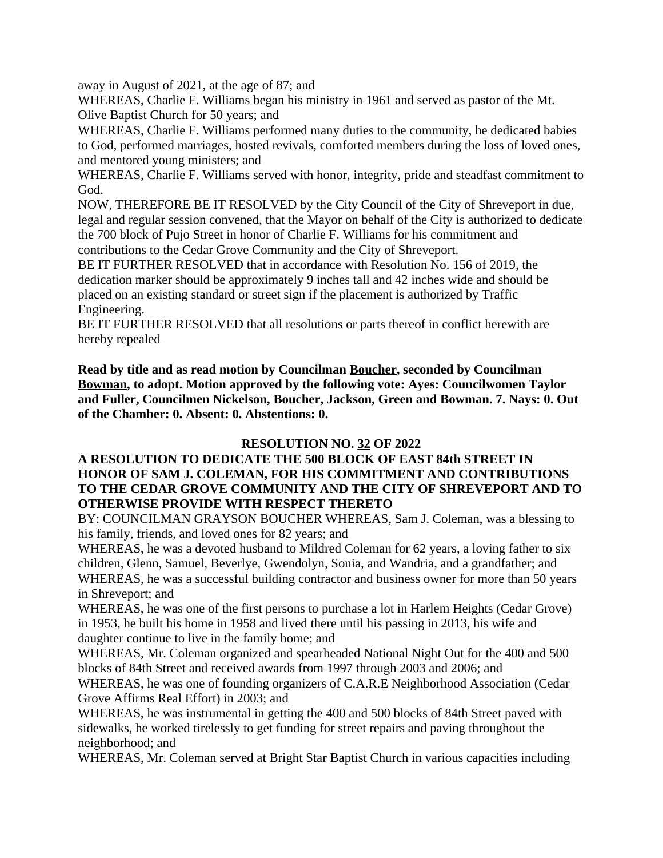away in August of 2021, at the age of 87; and

WHEREAS, Charlie F. Williams began his ministry in 1961 and served as pastor of the Mt. Olive Baptist Church for 50 years; and

WHEREAS, Charlie F. Williams performed many duties to the community, he dedicated babies to God, performed marriages, hosted revivals, comforted members during the loss of loved ones, and mentored young ministers; and

WHEREAS, Charlie F. Williams served with honor, integrity, pride and steadfast commitment to God.

NOW, THEREFORE BE IT RESOLVED by the City Council of the City of Shreveport in due, legal and regular session convened, that the Mayor on behalf of the City is authorized to dedicate the 700 block of Pujo Street in honor of Charlie F. Williams for his commitment and contributions to the Cedar Grove Community and the City of Shreveport.

BE IT FURTHER RESOLVED that in accordance with Resolution No. 156 of 2019, the dedication marker should be approximately 9 inches tall and 42 inches wide and should be placed on an existing standard or street sign if the placement is authorized by Traffic Engineering.

BE IT FURTHER RESOLVED that all resolutions or parts thereof in conflict herewith are hereby repealed

**Read by title and as read motion by Councilman Boucher, seconded by Councilman Bowman, to adopt. Motion approved by the following vote: Ayes: Councilwomen Taylor and Fuller, Councilmen Nickelson, Boucher, Jackson, Green and Bowman. 7. Nays: 0. Out of the Chamber: 0. Absent: 0. Abstentions: 0.**

## **RESOLUTION NO. 32 OF 2022**

#### **A RESOLUTION TO DEDICATE THE 500 BLOCK OF EAST 84th STREET IN HONOR OF SAM J. COLEMAN, FOR HIS COMMITMENT AND CONTRIBUTIONS TO THE CEDAR GROVE COMMUNITY AND THE CITY OF SHREVEPORT AND TO OTHERWISE PROVIDE WITH RESPECT THERETO**

BY: COUNCILMAN GRAYSON BOUCHER WHEREAS, Sam J. Coleman, was a blessing to his family, friends, and loved ones for 82 years; and

WHEREAS, he was a devoted husband to Mildred Coleman for 62 years, a loving father to six children, Glenn, Samuel, Beverlye, Gwendolyn, Sonia, and Wandria, and a grandfather; and WHEREAS, he was a successful building contractor and business owner for more than 50 years in Shreveport; and

WHEREAS, he was one of the first persons to purchase a lot in Harlem Heights (Cedar Grove) in 1953, he built his home in 1958 and lived there until his passing in 2013, his wife and daughter continue to live in the family home; and

WHEREAS, Mr. Coleman organized and spearheaded National Night Out for the 400 and 500 blocks of 84th Street and received awards from 1997 through 2003 and 2006; and

WHEREAS, he was one of founding organizers of C.A.R.E Neighborhood Association (Cedar Grove Affirms Real Effort) in 2003; and

WHEREAS, he was instrumental in getting the 400 and 500 blocks of 84th Street paved with sidewalks, he worked tirelessly to get funding for street repairs and paving throughout the neighborhood; and

WHEREAS, Mr. Coleman served at Bright Star Baptist Church in various capacities including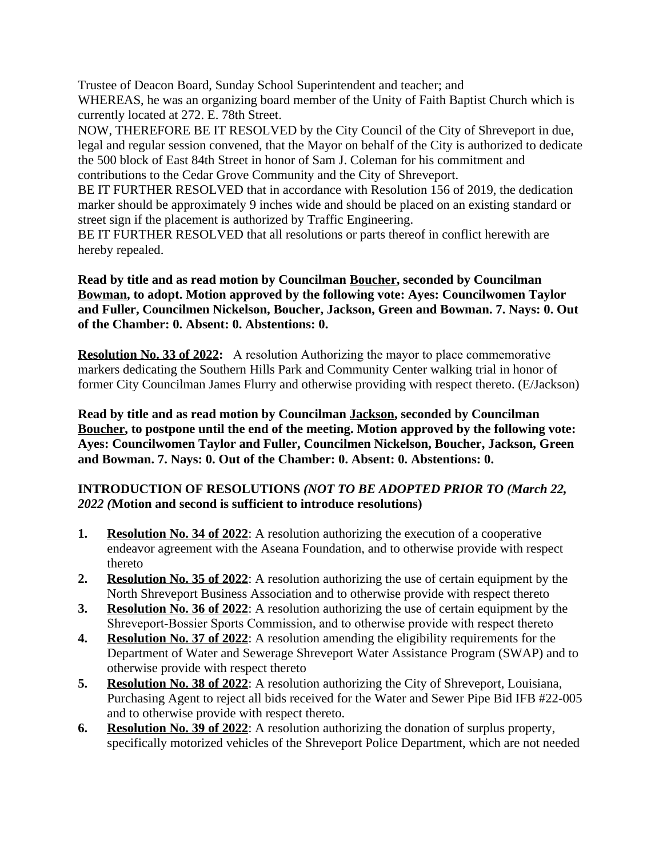Trustee of Deacon Board, Sunday School Superintendent and teacher; and WHEREAS, he was an organizing board member of the Unity of Faith Baptist Church which is currently located at 272. E. 78th Street.

NOW, THEREFORE BE IT RESOLVED by the City Council of the City of Shreveport in due, legal and regular session convened, that the Mayor on behalf of the City is authorized to dedicate the 500 block of East 84th Street in honor of Sam J. Coleman for his commitment and contributions to the Cedar Grove Community and the City of Shreveport.

BE IT FURTHER RESOLVED that in accordance with Resolution 156 of 2019, the dedication marker should be approximately 9 inches wide and should be placed on an existing standard or street sign if the placement is authorized by Traffic Engineering.

BE IT FURTHER RESOLVED that all resolutions or parts thereof in conflict herewith are hereby repealed.

#### **Read by title and as read motion by Councilman Boucher, seconded by Councilman Bowman, to adopt. Motion approved by the following vote: Ayes: Councilwomen Taylor and Fuller, Councilmen Nickelson, Boucher, Jackson, Green and Bowman. 7. Nays: 0. Out of the Chamber: 0. Absent: 0. Abstentions: 0.**

**Resolution No. 33 of 2022:** A resolution Authorizing the mayor to place commemorative markers dedicating the Southern Hills Park and Community Center walking trial in honor of former City Councilman James Flurry and otherwise providing with respect thereto. (E/Jackson)

**Read by title and as read motion by Councilman Jackson, seconded by Councilman Boucher, to postpone until the end of the meeting. Motion approved by the following vote: Ayes: Councilwomen Taylor and Fuller, Councilmen Nickelson, Boucher, Jackson, Green and Bowman. 7. Nays: 0. Out of the Chamber: 0. Absent: 0. Abstentions: 0.**

## **INTRODUCTION OF RESOLUTIONS** *(NOT TO BE ADOPTED PRIOR TO (March 22, 2022 (***Motion and second is sufficient to introduce resolutions)**

- **1. Resolution No. 34 of 2022**: A resolution authorizing the execution of a cooperative endeavor agreement with the Aseana Foundation, and to otherwise provide with respect thereto
- **2. Resolution No. 35 of 2022**: A resolution authorizing the use of certain equipment by the North Shreveport Business Association and to otherwise provide with respect thereto
- **3. Resolution No. 36 of 2022**: A resolution authorizing the use of certain equipment by the Shreveport-Bossier Sports Commission, and to otherwise provide with respect thereto
- **4. Resolution No. 37 of 2022**: A resolution amending the eligibility requirements for the Department of Water and Sewerage Shreveport Water Assistance Program (SWAP) and to otherwise provide with respect thereto
- **5. Resolution No. 38 of 2022**: A resolution authorizing the City of Shreveport, Louisiana, Purchasing Agent to reject all bids received for the Water and Sewer Pipe Bid IFB #22-005 and to otherwise provide with respect thereto.
- **6. Resolution No. 39 of 2022**: A resolution authorizing the donation of surplus property, specifically motorized vehicles of the Shreveport Police Department, which are not needed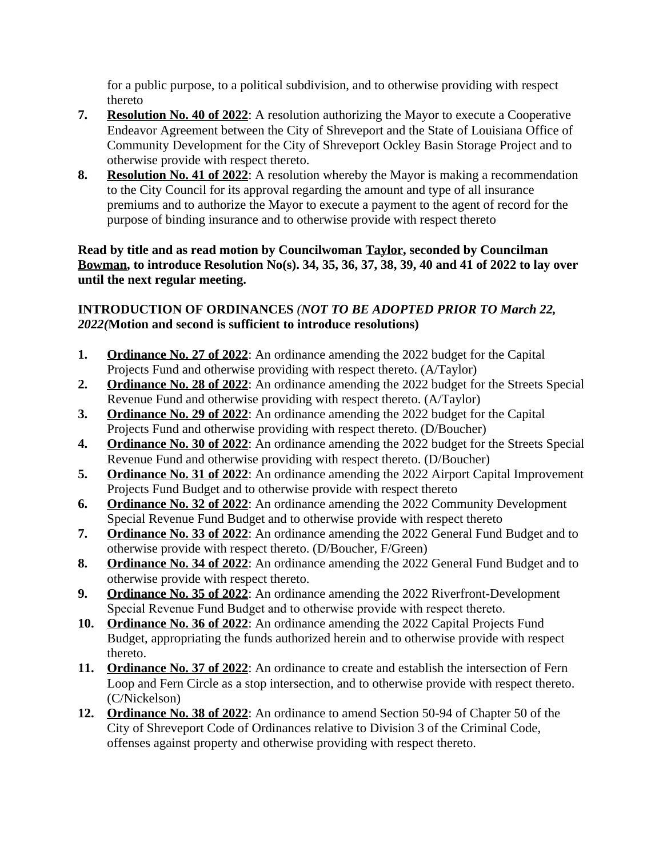for a public purpose, to a political subdivision, and to otherwise providing with respect thereto

- **7. Resolution No. 40 of 2022**: A resolution authorizing the Mayor to execute a Cooperative Endeavor Agreement between the City of Shreveport and the State of Louisiana Office of Community Development for the City of Shreveport Ockley Basin Storage Project and to otherwise provide with respect thereto.
- **8. Resolution No. 41 of 2022**: A resolution whereby the Mayor is making a recommendation to the City Council for its approval regarding the amount and type of all insurance premiums and to authorize the Mayor to execute a payment to the agent of record for the purpose of binding insurance and to otherwise provide with respect thereto

#### **Read by title and as read motion by Councilwoman Taylor, seconded by Councilman Bowman, to introduce Resolution No(s). 34, 35, 36, 37, 38, 39, 40 and 41 of 2022 to lay over until the next regular meeting.**

## **INTRODUCTION OF ORDINANCES** *(NOT TO BE ADOPTED PRIOR TO March 22, 2022(***Motion and second is sufficient to introduce resolutions)**

- **1. Ordinance No. 27 of 2022**: An ordinance amending the 2022 budget for the Capital Projects Fund and otherwise providing with respect thereto. (A/Taylor)
- **2. Ordinance No. 28 of 2022**: An ordinance amending the 2022 budget for the Streets Special Revenue Fund and otherwise providing with respect thereto. (A/Taylor)
- **3. Ordinance No. 29 of 2022**: An ordinance amending the 2022 budget for the Capital Projects Fund and otherwise providing with respect thereto. (D/Boucher)
- **4. Ordinance No. 30 of 2022**: An ordinance amending the 2022 budget for the Streets Special Revenue Fund and otherwise providing with respect thereto. (D/Boucher)
- **5. Ordinance No. 31 of 2022**: An ordinance amending the 2022 Airport Capital Improvement Projects Fund Budget and to otherwise provide with respect thereto
- **6. Ordinance No. 32 of 2022**: An ordinance amending the 2022 Community Development Special Revenue Fund Budget and to otherwise provide with respect thereto
- **7. Ordinance No. 33 of 2022**: An ordinance amending the 2022 General Fund Budget and to otherwise provide with respect thereto. (D/Boucher, F/Green)
- **8. Ordinance No. 34 of 2022**: An ordinance amending the 2022 General Fund Budget and to otherwise provide with respect thereto.
- **9. Ordinance No. 35 of 2022**: An ordinance amending the 2022 Riverfront-Development Special Revenue Fund Budget and to otherwise provide with respect thereto.
- **10. Ordinance No. 36 of 2022**: An ordinance amending the 2022 Capital Projects Fund Budget, appropriating the funds authorized herein and to otherwise provide with respect thereto.
- **11. Ordinance No. 37 of 2022**: An ordinance to create and establish the intersection of Fern Loop and Fern Circle as a stop intersection, and to otherwise provide with respect thereto. (C/Nickelson)
- **12. Ordinance No. 38 of 2022**: An ordinance to amend Section 50-94 of Chapter 50 of the City of Shreveport Code of Ordinances relative to Division 3 of the Criminal Code, offenses against property and otherwise providing with respect thereto.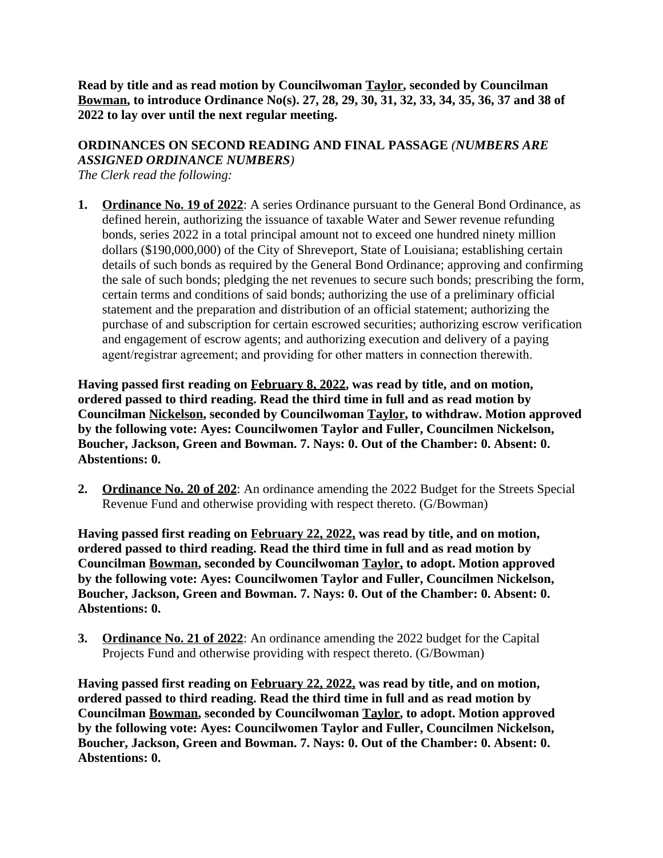**Read by title and as read motion by Councilwoman Taylor, seconded by Councilman Bowman, to introduce Ordinance No(s). 27, 28, 29, 30, 31, 32, 33, 34, 35, 36, 37 and 38 of 2022 to lay over until the next regular meeting.**

# **ORDINANCES ON SECOND READING AND FINAL PASSAGE** *(NUMBERS ARE ASSIGNED ORDINANCE NUMBERS)*

*The Clerk read the following:* 

**1. Ordinance No. 19 of 2022**: A series Ordinance pursuant to the General Bond Ordinance, as defined herein, authorizing the issuance of taxable Water and Sewer revenue refunding bonds, series 2022 in a total principal amount not to exceed one hundred ninety million dollars (\$190,000,000) of the City of Shreveport, State of Louisiana; establishing certain details of such bonds as required by the General Bond Ordinance; approving and confirming the sale of such bonds; pledging the net revenues to secure such bonds; prescribing the form, certain terms and conditions of said bonds; authorizing the use of a preliminary official statement and the preparation and distribution of an official statement; authorizing the purchase of and subscription for certain escrowed securities; authorizing escrow verification and engagement of escrow agents; and authorizing execution and delivery of a paying agent/registrar agreement; and providing for other matters in connection therewith.

**Having passed first reading on February 8, 2022, was read by title, and on motion, ordered passed to third reading. Read the third time in full and as read motion by Councilman Nickelson, seconded by Councilwoman Taylor, to withdraw. Motion approved by the following vote: Ayes: Councilwomen Taylor and Fuller, Councilmen Nickelson, Boucher, Jackson, Green and Bowman. 7. Nays: 0. Out of the Chamber: 0. Absent: 0. Abstentions: 0.**

**2. Ordinance No. 20 of 202**: An ordinance amending the 2022 Budget for the Streets Special Revenue Fund and otherwise providing with respect thereto. (G/Bowman)

**Having passed first reading on February 22, 2022, was read by title, and on motion, ordered passed to third reading. Read the third time in full and as read motion by Councilman Bowman, seconded by Councilwoman Taylor, to adopt. Motion approved by the following vote: Ayes: Councilwomen Taylor and Fuller, Councilmen Nickelson, Boucher, Jackson, Green and Bowman. 7. Nays: 0. Out of the Chamber: 0. Absent: 0. Abstentions: 0.**

**3. Ordinance No. 21 of 2022**: An ordinance amending the 2022 budget for the Capital Projects Fund and otherwise providing with respect thereto. (G/Bowman)

**Having passed first reading on February 22, 2022, was read by title, and on motion, ordered passed to third reading. Read the third time in full and as read motion by Councilman Bowman, seconded by Councilwoman Taylor, to adopt. Motion approved by the following vote: Ayes: Councilwomen Taylor and Fuller, Councilmen Nickelson, Boucher, Jackson, Green and Bowman. 7. Nays: 0. Out of the Chamber: 0. Absent: 0. Abstentions: 0.**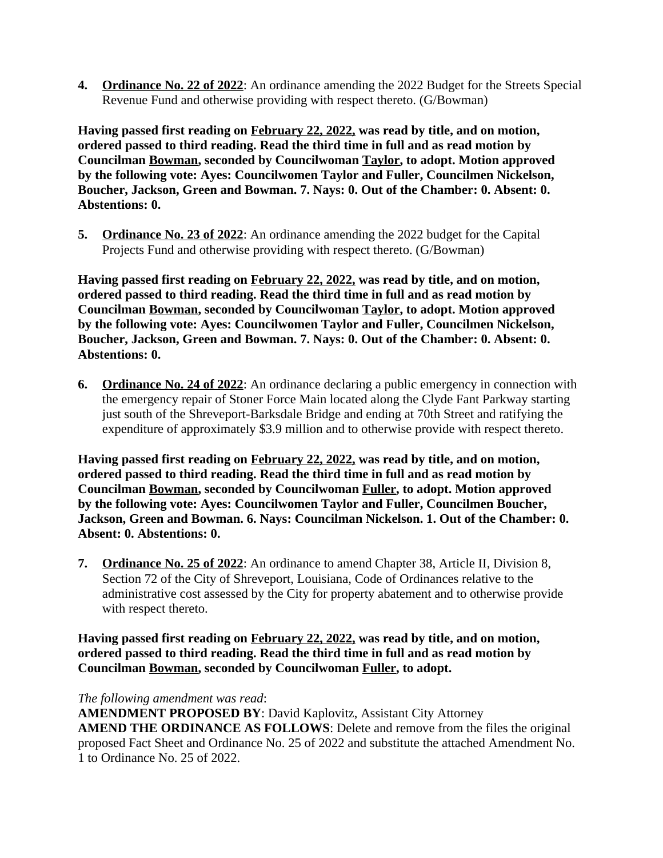**4. Ordinance No. 22 of 2022**: An ordinance amending the 2022 Budget for the Streets Special Revenue Fund and otherwise providing with respect thereto. (G/Bowman)

**Having passed first reading on February 22, 2022, was read by title, and on motion, ordered passed to third reading. Read the third time in full and as read motion by Councilman Bowman, seconded by Councilwoman Taylor, to adopt. Motion approved by the following vote: Ayes: Councilwomen Taylor and Fuller, Councilmen Nickelson, Boucher, Jackson, Green and Bowman. 7. Nays: 0. Out of the Chamber: 0. Absent: 0. Abstentions: 0.**

**5. Ordinance No. 23 of 2022**: An ordinance amending the 2022 budget for the Capital Projects Fund and otherwise providing with respect thereto. (G/Bowman)

**Having passed first reading on February 22, 2022, was read by title, and on motion, ordered passed to third reading. Read the third time in full and as read motion by Councilman Bowman, seconded by Councilwoman Taylor, to adopt. Motion approved by the following vote: Ayes: Councilwomen Taylor and Fuller, Councilmen Nickelson, Boucher, Jackson, Green and Bowman. 7. Nays: 0. Out of the Chamber: 0. Absent: 0. Abstentions: 0.**

**6. Ordinance No. 24 of 2022**: An ordinance declaring a public emergency in connection with the emergency repair of Stoner Force Main located along the Clyde Fant Parkway starting just south of the Shreveport-Barksdale Bridge and ending at 70th Street and ratifying the expenditure of approximately \$3.9 million and to otherwise provide with respect thereto.

**Having passed first reading on February 22, 2022, was read by title, and on motion, ordered passed to third reading. Read the third time in full and as read motion by Councilman Bowman, seconded by Councilwoman Fuller, to adopt. Motion approved by the following vote: Ayes: Councilwomen Taylor and Fuller, Councilmen Boucher, Jackson, Green and Bowman. 6. Nays: Councilman Nickelson. 1. Out of the Chamber: 0. Absent: 0. Abstentions: 0.**

**7. Ordinance No. 25 of 2022**: An ordinance to amend Chapter 38, Article II, Division 8, Section 72 of the City of Shreveport, Louisiana, Code of Ordinances relative to the administrative cost assessed by the City for property abatement and to otherwise provide with respect thereto.

**Having passed first reading on February 22, 2022, was read by title, and on motion, ordered passed to third reading. Read the third time in full and as read motion by Councilman Bowman, seconded by Councilwoman Fuller, to adopt.** 

*The following amendment was read*:

**AMENDMENT PROPOSED BY**: David Kaplovitz, Assistant City Attorney **AMEND THE ORDINANCE AS FOLLOWS**: Delete and remove from the files the original proposed Fact Sheet and Ordinance No. 25 of 2022 and substitute the attached Amendment No. 1 to Ordinance No. 25 of 2022.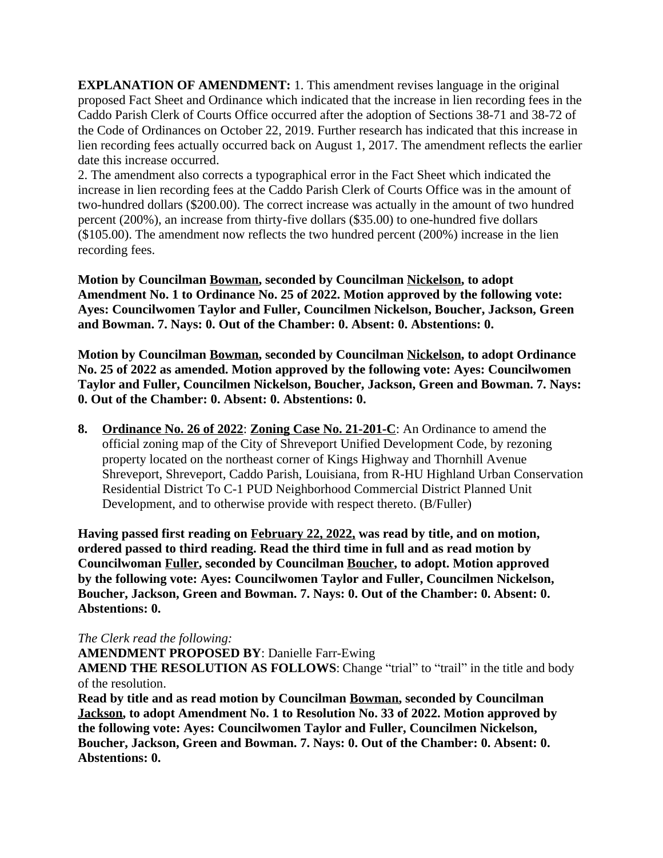**EXPLANATION OF AMENDMENT:** 1. This amendment revises language in the original proposed Fact Sheet and Ordinance which indicated that the increase in lien recording fees in the Caddo Parish Clerk of Courts Office occurred after the adoption of Sections 38-71 and 38-72 of the Code of Ordinances on October 22, 2019. Further research has indicated that this increase in lien recording fees actually occurred back on August 1, 2017. The amendment reflects the earlier date this increase occurred.

2. The amendment also corrects a typographical error in the Fact Sheet which indicated the increase in lien recording fees at the Caddo Parish Clerk of Courts Office was in the amount of two-hundred dollars (\$200.00). The correct increase was actually in the amount of two hundred percent (200%), an increase from thirty-five dollars (\$35.00) to one-hundred five dollars (\$105.00). The amendment now reflects the two hundred percent (200%) increase in the lien recording fees.

**Motion by Councilman Bowman, seconded by Councilman Nickelson, to adopt Amendment No. 1 to Ordinance No. 25 of 2022. Motion approved by the following vote: Ayes: Councilwomen Taylor and Fuller, Councilmen Nickelson, Boucher, Jackson, Green and Bowman. 7. Nays: 0. Out of the Chamber: 0. Absent: 0. Abstentions: 0.**

**Motion by Councilman Bowman, seconded by Councilman Nickelson, to adopt Ordinance No. 25 of 2022 as amended. Motion approved by the following vote: Ayes: Councilwomen Taylor and Fuller, Councilmen Nickelson, Boucher, Jackson, Green and Bowman. 7. Nays: 0. Out of the Chamber: 0. Absent: 0. Abstentions: 0.**

**8. Ordinance No. 26 of 2022**: **Zoning Case No. 21-201-C**: An Ordinance to amend the official zoning map of the City of Shreveport Unified Development Code, by rezoning property located on the northeast corner of Kings Highway and Thornhill Avenue Shreveport, Shreveport, Caddo Parish, Louisiana, from R-HU Highland Urban Conservation Residential District To C-1 PUD Neighborhood Commercial District Planned Unit Development, and to otherwise provide with respect thereto. (B/Fuller)

**Having passed first reading on February 22, 2022, was read by title, and on motion, ordered passed to third reading. Read the third time in full and as read motion by Councilwoman Fuller, seconded by Councilman Boucher, to adopt. Motion approved by the following vote: Ayes: Councilwomen Taylor and Fuller, Councilmen Nickelson, Boucher, Jackson, Green and Bowman. 7. Nays: 0. Out of the Chamber: 0. Absent: 0. Abstentions: 0.**

#### *The Clerk read the following:*

**AMENDMENT PROPOSED BY**: Danielle Farr-Ewing **AMEND THE RESOLUTION AS FOLLOWS**: Change "trial" to "trail" in the title and body of the resolution.

**Read by title and as read motion by Councilman Bowman, seconded by Councilman Jackson, to adopt Amendment No. 1 to Resolution No. 33 of 2022. Motion approved by the following vote: Ayes: Councilwomen Taylor and Fuller, Councilmen Nickelson, Boucher, Jackson, Green and Bowman. 7. Nays: 0. Out of the Chamber: 0. Absent: 0. Abstentions: 0.**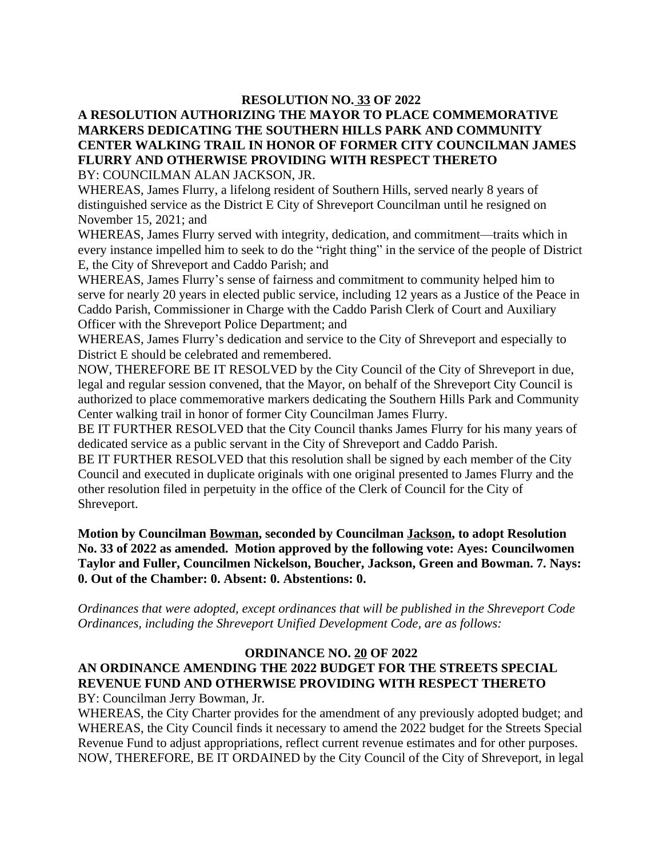#### **RESOLUTION NO. 33 OF 2022**

# **A RESOLUTION AUTHORIZING THE MAYOR TO PLACE COMMEMORATIVE MARKERS DEDICATING THE SOUTHERN HILLS PARK AND COMMUNITY CENTER WALKING TRAIL IN HONOR OF FORMER CITY COUNCILMAN JAMES FLURRY AND OTHERWISE PROVIDING WITH RESPECT THERETO**

BY: COUNCILMAN ALAN JACKSON, JR.

WHEREAS, James Flurry, a lifelong resident of Southern Hills, served nearly 8 years of distinguished service as the District E City of Shreveport Councilman until he resigned on November 15, 2021; and

WHEREAS, James Flurry served with integrity, dedication, and commitment—traits which in every instance impelled him to seek to do the "right thing" in the service of the people of District E, the City of Shreveport and Caddo Parish; and

WHEREAS, James Flurry's sense of fairness and commitment to community helped him to serve for nearly 20 years in elected public service, including 12 years as a Justice of the Peace in Caddo Parish, Commissioner in Charge with the Caddo Parish Clerk of Court and Auxiliary Officer with the Shreveport Police Department; and

WHEREAS, James Flurry's dedication and service to the City of Shreveport and especially to District E should be celebrated and remembered.

NOW, THEREFORE BE IT RESOLVED by the City Council of the City of Shreveport in due, legal and regular session convened, that the Mayor, on behalf of the Shreveport City Council is authorized to place commemorative markers dedicating the Southern Hills Park and Community Center walking trail in honor of former City Councilman James Flurry.

BE IT FURTHER RESOLVED that the City Council thanks James Flurry for his many years of dedicated service as a public servant in the City of Shreveport and Caddo Parish.

BE IT FURTHER RESOLVED that this resolution shall be signed by each member of the City Council and executed in duplicate originals with one original presented to James Flurry and the other resolution filed in perpetuity in the office of the Clerk of Council for the City of Shreveport.

**Motion by Councilman Bowman, seconded by Councilman Jackson, to adopt Resolution No. 33 of 2022 as amended. Motion approved by the following vote: Ayes: Councilwomen Taylor and Fuller, Councilmen Nickelson, Boucher, Jackson, Green and Bowman. 7. Nays: 0. Out of the Chamber: 0. Absent: 0. Abstentions: 0.**

*Ordinances that were adopted, except ordinances that will be published in the Shreveport Code Ordinances, including the Shreveport Unified Development Code, are as follows:*

#### **ORDINANCE NO. 20 OF 2022**

#### **AN ORDINANCE AMENDING THE 2022 BUDGET FOR THE STREETS SPECIAL REVENUE FUND AND OTHERWISE PROVIDING WITH RESPECT THERETO**

BY: Councilman Jerry Bowman, Jr.

WHEREAS, the City Charter provides for the amendment of any previously adopted budget; and WHEREAS, the City Council finds it necessary to amend the 2022 budget for the Streets Special Revenue Fund to adjust appropriations, reflect current revenue estimates and for other purposes. NOW, THEREFORE, BE IT ORDAINED by the City Council of the City of Shreveport, in legal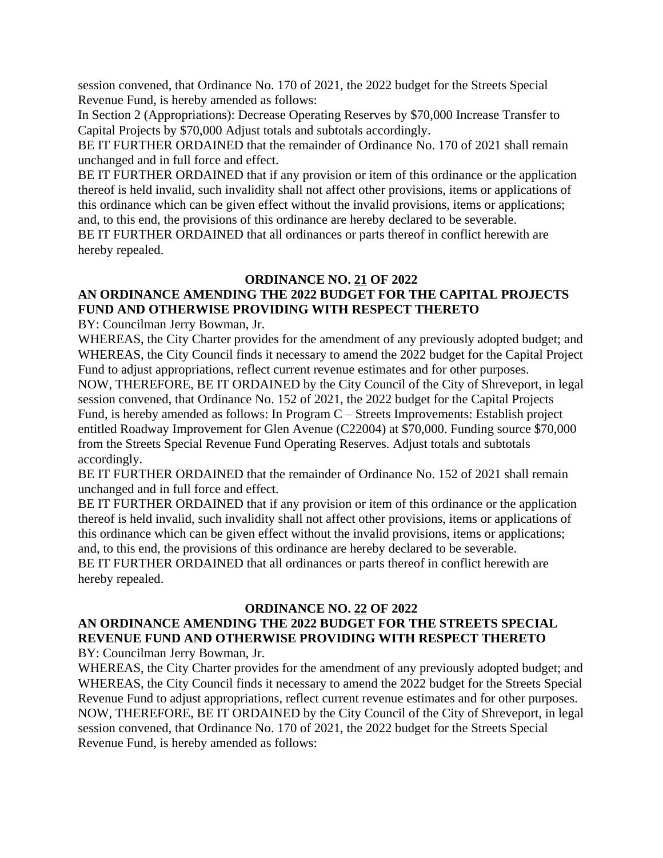session convened, that Ordinance No. 170 of 2021, the 2022 budget for the Streets Special Revenue Fund, is hereby amended as follows:

In Section 2 (Appropriations): Decrease Operating Reserves by \$70,000 Increase Transfer to Capital Projects by \$70,000 Adjust totals and subtotals accordingly.

BE IT FURTHER ORDAINED that the remainder of Ordinance No. 170 of 2021 shall remain unchanged and in full force and effect.

BE IT FURTHER ORDAINED that if any provision or item of this ordinance or the application thereof is held invalid, such invalidity shall not affect other provisions, items or applications of this ordinance which can be given effect without the invalid provisions, items or applications; and, to this end, the provisions of this ordinance are hereby declared to be severable. BE IT FURTHER ORDAINED that all ordinances or parts thereof in conflict herewith are hereby repealed.

#### **ORDINANCE NO. 21 OF 2022**

## **AN ORDINANCE AMENDING THE 2022 BUDGET FOR THE CAPITAL PROJECTS FUND AND OTHERWISE PROVIDING WITH RESPECT THERETO**

BY: Councilman Jerry Bowman, Jr.

WHEREAS, the City Charter provides for the amendment of any previously adopted budget; and WHEREAS, the City Council finds it necessary to amend the 2022 budget for the Capital Project Fund to adjust appropriations, reflect current revenue estimates and for other purposes.

NOW, THEREFORE, BE IT ORDAINED by the City Council of the City of Shreveport, in legal session convened, that Ordinance No. 152 of 2021, the 2022 budget for the Capital Projects Fund, is hereby amended as follows: In Program C – Streets Improvements: Establish project entitled Roadway Improvement for Glen Avenue (C22004) at \$70,000. Funding source \$70,000 from the Streets Special Revenue Fund Operating Reserves. Adjust totals and subtotals accordingly.

BE IT FURTHER ORDAINED that the remainder of Ordinance No. 152 of 2021 shall remain unchanged and in full force and effect.

BE IT FURTHER ORDAINED that if any provision or item of this ordinance or the application thereof is held invalid, such invalidity shall not affect other provisions, items or applications of this ordinance which can be given effect without the invalid provisions, items or applications; and, to this end, the provisions of this ordinance are hereby declared to be severable. BE IT FURTHER ORDAINED that all ordinances or parts thereof in conflict herewith are hereby repealed.

#### **ORDINANCE NO. 22 OF 2022**

#### **AN ORDINANCE AMENDING THE 2022 BUDGET FOR THE STREETS SPECIAL REVENUE FUND AND OTHERWISE PROVIDING WITH RESPECT THERETO** BY: Councilman Jerry Bowman, Jr.

WHEREAS, the City Charter provides for the amendment of any previously adopted budget; and WHEREAS, the City Council finds it necessary to amend the 2022 budget for the Streets Special Revenue Fund to adjust appropriations, reflect current revenue estimates and for other purposes. NOW, THEREFORE, BE IT ORDAINED by the City Council of the City of Shreveport, in legal session convened, that Ordinance No. 170 of 2021, the 2022 budget for the Streets Special Revenue Fund, is hereby amended as follows: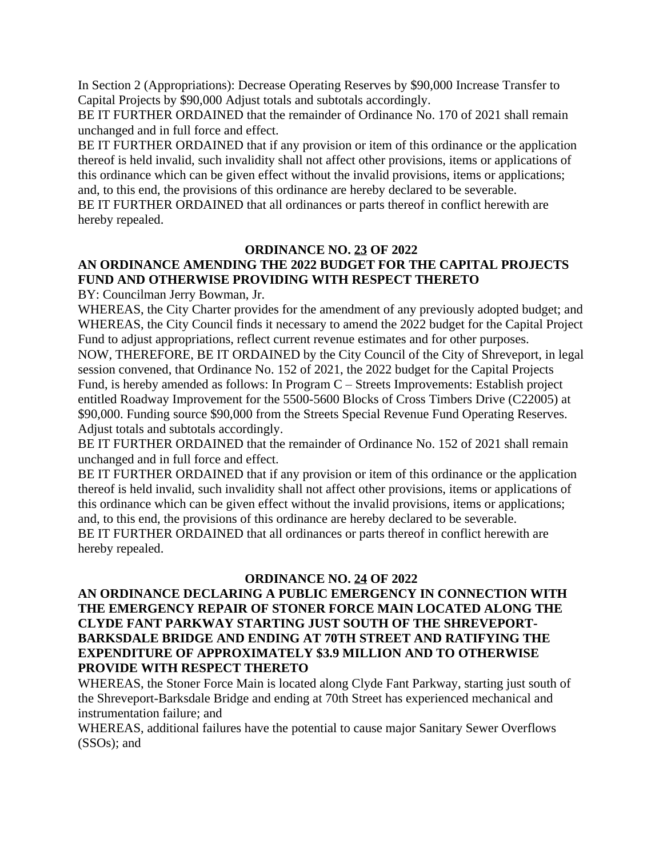In Section 2 (Appropriations): Decrease Operating Reserves by \$90,000 Increase Transfer to Capital Projects by \$90,000 Adjust totals and subtotals accordingly.

BE IT FURTHER ORDAINED that the remainder of Ordinance No. 170 of 2021 shall remain unchanged and in full force and effect.

BE IT FURTHER ORDAINED that if any provision or item of this ordinance or the application thereof is held invalid, such invalidity shall not affect other provisions, items or applications of this ordinance which can be given effect without the invalid provisions, items or applications; and, to this end, the provisions of this ordinance are hereby declared to be severable.

BE IT FURTHER ORDAINED that all ordinances or parts thereof in conflict herewith are hereby repealed.

# **ORDINANCE NO. 23 OF 2022**

# **AN ORDINANCE AMENDING THE 2022 BUDGET FOR THE CAPITAL PROJECTS FUND AND OTHERWISE PROVIDING WITH RESPECT THERETO**

BY: Councilman Jerry Bowman, Jr.

WHEREAS, the City Charter provides for the amendment of any previously adopted budget; and WHEREAS, the City Council finds it necessary to amend the 2022 budget for the Capital Project Fund to adjust appropriations, reflect current revenue estimates and for other purposes. NOW, THEREFORE, BE IT ORDAINED by the City Council of the City of Shreveport, in legal session convened, that Ordinance No. 152 of 2021, the 2022 budget for the Capital Projects Fund, is hereby amended as follows: In Program C – Streets Improvements: Establish project entitled Roadway Improvement for the 5500-5600 Blocks of Cross Timbers Drive (C22005) at \$90,000. Funding source \$90,000 from the Streets Special Revenue Fund Operating Reserves. Adjust totals and subtotals accordingly.

BE IT FURTHER ORDAINED that the remainder of Ordinance No. 152 of 2021 shall remain unchanged and in full force and effect.

BE IT FURTHER ORDAINED that if any provision or item of this ordinance or the application thereof is held invalid, such invalidity shall not affect other provisions, items or applications of this ordinance which can be given effect without the invalid provisions, items or applications; and, to this end, the provisions of this ordinance are hereby declared to be severable. BE IT FURTHER ORDAINED that all ordinances or parts thereof in conflict herewith are hereby repealed.

#### **ORDINANCE NO. 24 OF 2022**

#### **AN ORDINANCE DECLARING A PUBLIC EMERGENCY IN CONNECTION WITH THE EMERGENCY REPAIR OF STONER FORCE MAIN LOCATED ALONG THE CLYDE FANT PARKWAY STARTING JUST SOUTH OF THE SHREVEPORT-BARKSDALE BRIDGE AND ENDING AT 70TH STREET AND RATIFYING THE EXPENDITURE OF APPROXIMATELY \$3.9 MILLION AND TO OTHERWISE PROVIDE WITH RESPECT THERETO**

WHEREAS, the Stoner Force Main is located along Clyde Fant Parkway, starting just south of the Shreveport-Barksdale Bridge and ending at 70th Street has experienced mechanical and instrumentation failure; and

WHEREAS, additional failures have the potential to cause major Sanitary Sewer Overflows (SSOs); and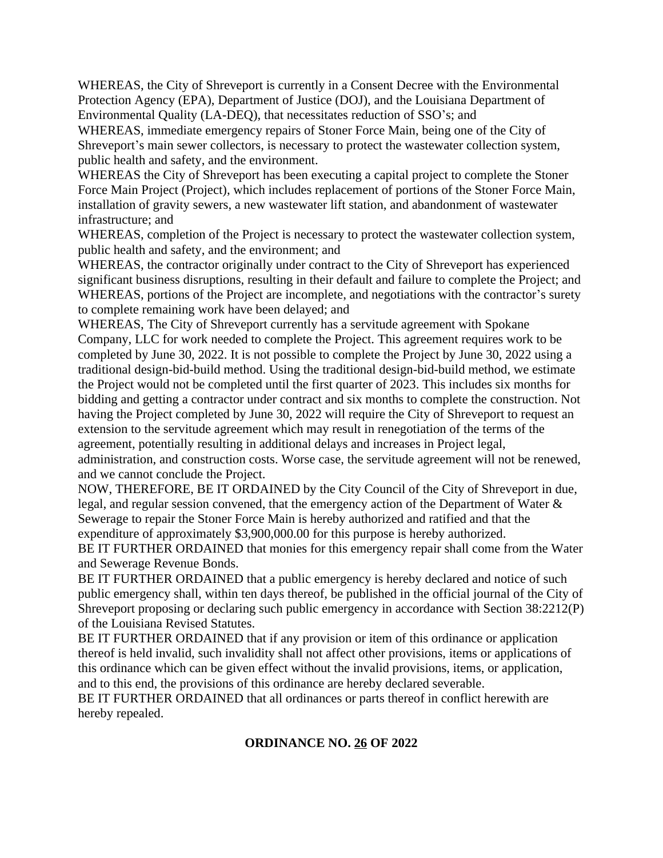WHEREAS, the City of Shreveport is currently in a Consent Decree with the Environmental Protection Agency (EPA), Department of Justice (DOJ), and the Louisiana Department of Environmental Quality (LA-DEQ), that necessitates reduction of SSO's; and

WHEREAS, immediate emergency repairs of Stoner Force Main, being one of the City of Shreveport's main sewer collectors, is necessary to protect the wastewater collection system, public health and safety, and the environment.

WHEREAS the City of Shreveport has been executing a capital project to complete the Stoner Force Main Project (Project), which includes replacement of portions of the Stoner Force Main, installation of gravity sewers, a new wastewater lift station, and abandonment of wastewater infrastructure; and

WHEREAS, completion of the Project is necessary to protect the wastewater collection system, public health and safety, and the environment; and

WHEREAS, the contractor originally under contract to the City of Shreveport has experienced significant business disruptions, resulting in their default and failure to complete the Project; and WHEREAS, portions of the Project are incomplete, and negotiations with the contractor's surety to complete remaining work have been delayed; and

WHEREAS, The City of Shreveport currently has a servitude agreement with Spokane Company, LLC for work needed to complete the Project. This agreement requires work to be completed by June 30, 2022. It is not possible to complete the Project by June 30, 2022 using a traditional design-bid-build method. Using the traditional design-bid-build method, we estimate the Project would not be completed until the first quarter of 2023. This includes six months for bidding and getting a contractor under contract and six months to complete the construction. Not having the Project completed by June 30, 2022 will require the City of Shreveport to request an extension to the servitude agreement which may result in renegotiation of the terms of the agreement, potentially resulting in additional delays and increases in Project legal, administration, and construction costs. Worse case, the servitude agreement will not be renewed, and we cannot conclude the Project.

NOW, THEREFORE, BE IT ORDAINED by the City Council of the City of Shreveport in due, legal, and regular session convened, that the emergency action of the Department of Water & Sewerage to repair the Stoner Force Main is hereby authorized and ratified and that the expenditure of approximately \$3,900,000.00 for this purpose is hereby authorized.

BE IT FURTHER ORDAINED that monies for this emergency repair shall come from the Water and Sewerage Revenue Bonds.

BE IT FURTHER ORDAINED that a public emergency is hereby declared and notice of such public emergency shall, within ten days thereof, be published in the official journal of the City of Shreveport proposing or declaring such public emergency in accordance with Section 38:2212(P) of the Louisiana Revised Statutes.

BE IT FURTHER ORDAINED that if any provision or item of this ordinance or application thereof is held invalid, such invalidity shall not affect other provisions, items or applications of this ordinance which can be given effect without the invalid provisions, items, or application, and to this end, the provisions of this ordinance are hereby declared severable.

BE IT FURTHER ORDAINED that all ordinances or parts thereof in conflict herewith are hereby repealed.

#### **ORDINANCE NO. 26 OF 2022**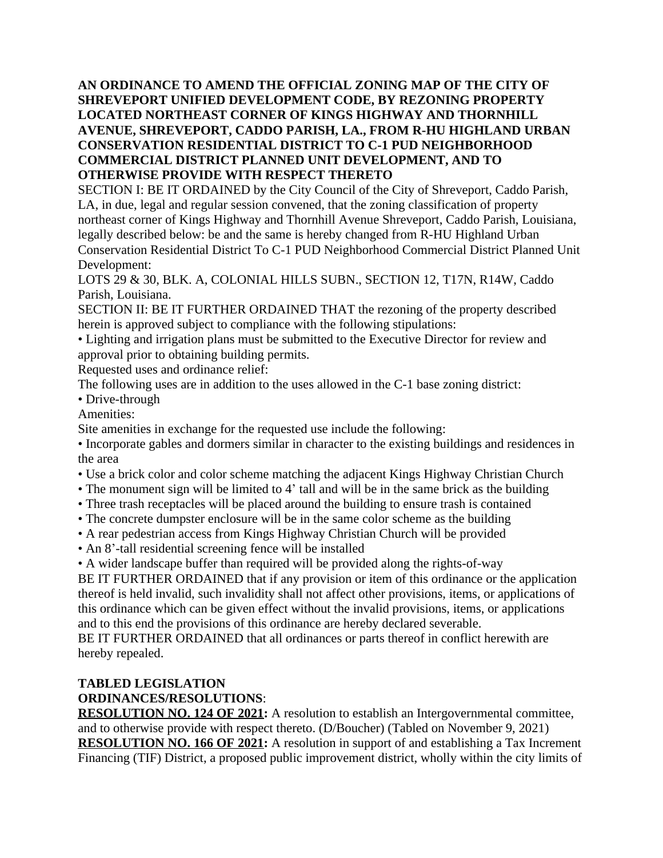**AN ORDINANCE TO AMEND THE OFFICIAL ZONING MAP OF THE CITY OF SHREVEPORT UNIFIED DEVELOPMENT CODE, BY REZONING PROPERTY LOCATED NORTHEAST CORNER OF KINGS HIGHWAY AND THORNHILL AVENUE, SHREVEPORT, CADDO PARISH, LA., FROM R-HU HIGHLAND URBAN CONSERVATION RESIDENTIAL DISTRICT TO C-1 PUD NEIGHBORHOOD COMMERCIAL DISTRICT PLANNED UNIT DEVELOPMENT, AND TO OTHERWISE PROVIDE WITH RESPECT THERETO** 

SECTION I: BE IT ORDAINED by the City Council of the City of Shreveport, Caddo Parish, LA, in due, legal and regular session convened, that the zoning classification of property northeast corner of Kings Highway and Thornhill Avenue Shreveport, Caddo Parish, Louisiana, legally described below: be and the same is hereby changed from R-HU Highland Urban Conservation Residential District To C-1 PUD Neighborhood Commercial District Planned Unit Development:

LOTS 29 & 30, BLK. A, COLONIAL HILLS SUBN., SECTION 12, T17N, R14W, Caddo Parish, Louisiana.

SECTION II: BE IT FURTHER ORDAINED THAT the rezoning of the property described herein is approved subject to compliance with the following stipulations:

• Lighting and irrigation plans must be submitted to the Executive Director for review and approval prior to obtaining building permits.

Requested uses and ordinance relief:

The following uses are in addition to the uses allowed in the C-1 base zoning district:

• Drive-through

Amenities:

Site amenities in exchange for the requested use include the following:

• Incorporate gables and dormers similar in character to the existing buildings and residences in the area

- Use a brick color and color scheme matching the adjacent Kings Highway Christian Church
- The monument sign will be limited to 4' tall and will be in the same brick as the building
- Three trash receptacles will be placed around the building to ensure trash is contained
- The concrete dumpster enclosure will be in the same color scheme as the building
- A rear pedestrian access from Kings Highway Christian Church will be provided
- An 8'-tall residential screening fence will be installed

• A wider landscape buffer than required will be provided along the rights-of-way

BE IT FURTHER ORDAINED that if any provision or item of this ordinance or the application thereof is held invalid, such invalidity shall not affect other provisions, items, or applications of this ordinance which can be given effect without the invalid provisions, items, or applications and to this end the provisions of this ordinance are hereby declared severable.

BE IT FURTHER ORDAINED that all ordinances or parts thereof in conflict herewith are hereby repealed.

# **TABLED LEGISLATION**

# **ORDINANCES/RESOLUTIONS**:

**RESOLUTION NO. 124 OF 2021:** A resolution to establish an Intergovernmental committee, and to otherwise provide with respect thereto. (D/Boucher) (Tabled on November 9, 2021) **RESOLUTION NO. 166 OF 2021:** A resolution in support of and establishing a Tax Increment Financing (TIF) District, a proposed public improvement district, wholly within the city limits of